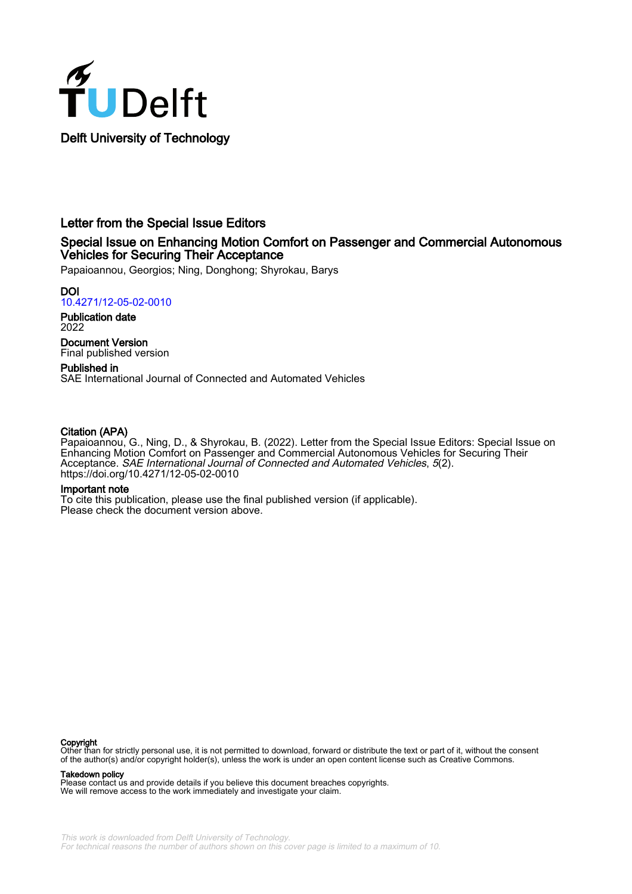

## Letter from the Special Issue Editors

### Special Issue on Enhancing Motion Comfort on Passenger and Commercial Autonomous Vehicles for Securing Their Acceptance

Papaioannou, Georgios; Ning, Donghong; Shyrokau, Barys

DOI [10.4271/12-05-02-0010](https://doi.org/10.4271/12-05-02-0010)

Publication date 2022

Document Version Final published version

Published in SAE International Journal of Connected and Automated Vehicles

### Citation (APA)

Papaioannou, G., Ning, D., & Shyrokau, B. (2022). Letter from the Special Issue Editors: Special Issue on Enhancing Motion Comfort on Passenger and Commercial Autonomous Vehicles for Securing Their Acceptance. SAE International Journal of Connected and Automated Vehicles, 5(2). <https://doi.org/10.4271/12-05-02-0010>

### Important note

To cite this publication, please use the final published version (if applicable). Please check the document version above.

### Copyright

Other than for strictly personal use, it is not permitted to download, forward or distribute the text or part of it, without the consent of the author(s) and/or copyright holder(s), unless the work is under an open content license such as Creative Commons.

### Takedown policy

Please contact us and provide details if you believe this document breaches copyrights. We will remove access to the work immediately and investigate your claim.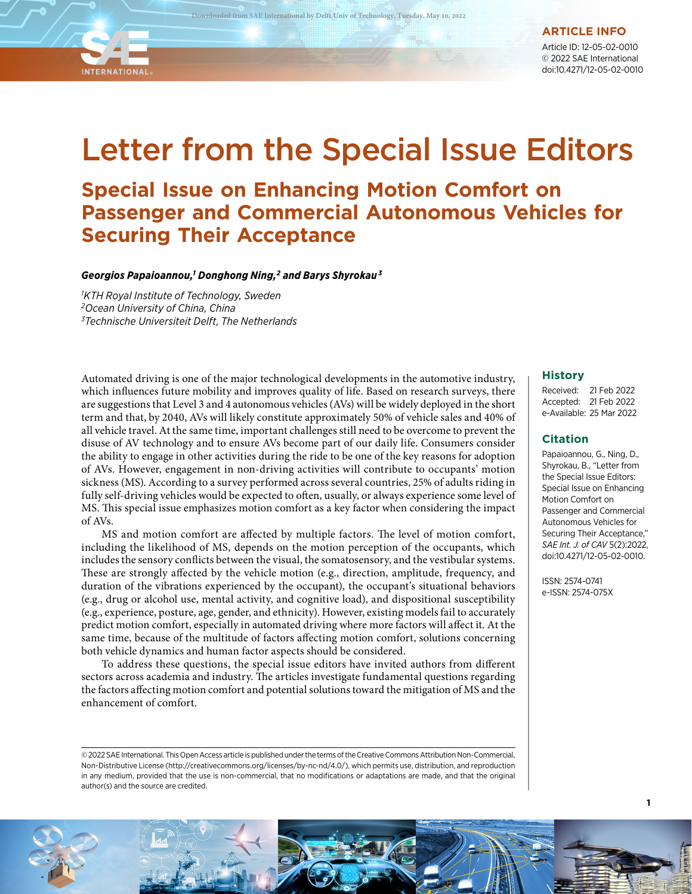**ARTICLE INFO**

Article ID: 12-05-02-0010 © 2022 SAE International doi:10.4271/12-05-02-0010

# Letter from the Special Issue Editors

# **Special Issue on Enhancing Motion Comfort on Passenger and Commercial Autonomous Vehicles for Securing Their Acceptance**

*Georgios Papaioannou,1 Donghong Ning,2 and Barys Shyrokau 3*

*1 KTH Royal Institute of Technology, Sweden 2Ocean University of China, China 3Technische Universiteit Delft, The Netherlands*

**INTERNATIONAL** 

Automated driving is one of the major technological developments in the automotive industry, which influences future mobility and improves quality of life. Based on research surveys, there are suggestions that Level 3 and 4 autonomous vehicles (AVs) will be widely deployed in the short term and that, by 2040, AVs will likely constitute approximately 50% of vehicle sales and 40% of all vehicle travel. At the same time, important challenges still need to be overcome to prevent the disuse of AV technology and to ensure AVs become part of our daily life. Consumers consider the ability to engage in other activities during the ride to be one of the key reasons for adoption of AVs. However, engagement in non-driving activities will contribute to occupants' motion sickness (MS). According to a survey performed across several countries, 25% of adults riding in fully self-driving vehicles would be expected to often, usually, or always experience some level of MS. This special issue emphasizes motion comfort as a key factor when considering the impact of AVs.

MS and motion comfort are affected by multiple factors. The level of motion comfort, including the likelihood of MS, depends on the motion perception of the occupants, which includes the sensory conflicts between the visual, the somatosensory, and the vestibular systems. These are strongly affected by the vehicle motion (e.g., direction, amplitude, frequency, and duration of the vibrations experienced by the occupant), the occupant's situational behaviors (e.g., drug or alcohol use, mental activity, and cognitive load), and dispositional susceptibility (e.g., experience, posture, age, gender, and ethnicity). However, existing models fail to accurately predict motion comfort, especially in automated driving where more factors will affect it. At the same time, because of the multitude of factors affecting motion comfort, solutions concerning both vehicle dynamics and human factor aspects should be considered.

To address these questions, the special issue editors have invited authors from different sectors across academia and industry. The articles investigate fundamental questions regarding the factors affecting motion comfort and potential solutions toward the mitigation of MS and the enhancement of comfort.

© 2022 SAE International. This Open Access article is published under the terms of the Creative Commons Attribution Non-Commercial, Non-Distributive License (http://creativecommons.org/licenses/by-nc-nd/4.0/), which permits use, distribution, and reproduction in any medium, provided that the use is non-commercial, that no modifications or adaptations are made, and that the original author(s) and the source are credited.

### **History**

Received: 21 Feb 2022 Accepted: 21 Feb 2022 e-Available: 25 Mar 2022

### **Citation**

Papaioannou, G., Ning, D., Shyrokau, B., "Letter from the Special Issue Editors: Special Issue on Enhancing Motion Comfort on Passenger and Commercial Autonomous Vehicles for Securing Their Acceptance," *SAE Int. J. of CAV* 5(2):2022, doi:10.4271/12-05-02-0010.

**1**

ISSN: 2574-0741 e-ISSN: 2574-075X